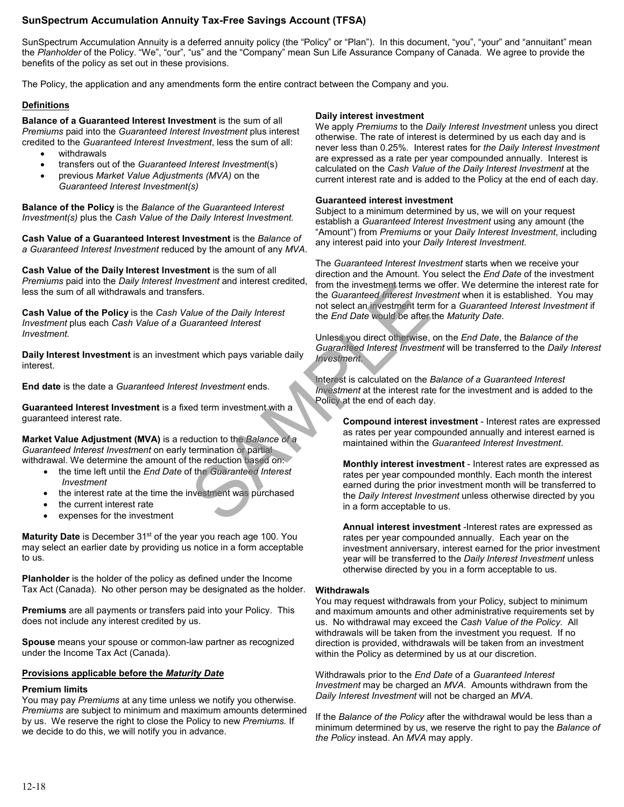# **SunSpectrum Accumulation Annuity Tax-Free Savings Account (TFSA)**

SunSpectrum Accumulation Annuity is a deferred annuity policy (the "Policy" or "Plan"). In this document, "you", "your" and "annuitant" mean the *Planholder* of the Policy. "We", "our", "us" and the "Company" mean Sun Life Assurance Company of Canada. We agree to provide the benefits of the policy as set out in these provisions.

The Policy, the application and any amendments form the entire contract between the Company and you.

# **Definitions**

**Balance of a Guaranteed Interest Investment** is the sum of all *Premiums* paid into the *Guaranteed Interest Investment* plus interest credited to the *Guaranteed Interest Investment*, less the sum of all:

- withdrawals
- transfers out of the *Guaranteed Interest Investment*(s)
- previous *Market Value Adjustments (MVA)* on the *Guaranteed Interest Investment(s)*

**Balance of the Policy** is the *Balance of the Guaranteed Interest Investment(s)* plus the *Cash Value of the Daily Interest Investment.*

**Cash Value of a Guaranteed Interest Investment** is the *Balance of a Guaranteed Interest Investment* reduced by the amount of any *MVA*.

**Cash Value of the Daily Interest Investment** is the sum of all *Premiums* paid into the *Daily Interest Investment* and interest credited, less the sum of all withdrawals and transfers.

**Cash Value of the Policy** is the *Cash Value of the Daily Interest Investment* plus each *Cash Value of a Guaranteed Interest Investment.*

**Daily Interest Investment** is an investment which pays variable daily interest.

**End date** is the date a *Guaranteed Interest Investment* ends.

**Guaranteed Interest Investment** is a fixed term investment with a guaranteed interest rate.

**Market Value Adjustment (MVA)** is a reduction to the *Balance of a Guaranteed Interest Investment* on early termination or partial withdrawal. We determine the amount of the reduction based on:

- the time left until the *End Date* of the *Guaranteed Interest Investment*
- the interest rate at the time the investment was purchased
- the current interest rate
- expenses for the investment

Maturity Date is December 31<sup>st</sup> of the year you reach age 100. You may select an earlier date by providing us notice in a form acceptable to us.

**Planholder** is the holder of the policy as defined under the Income Tax Act (Canada). No other person may be designated as the holder.

**Premiums** are all payments or transfers paid into your Policy. This does not include any interest credited by us.

**Spouse** means your spouse or common-law partner as recognized under the Income Tax Act (Canada).

#### **Provisions applicable before the** *Maturity Date*

#### **Premium limits**

You may pay *Premiums* at any time unless we notify you otherwise. *Premiums* are subject to minimum and maximum amounts determined by us. We reserve the right to close the Policy to new *Premiums.* If we decide to do this, we will notify you in advance.

### **Daily interest investment**

We apply *Premiums* to the *Daily Interest Investment* unless you direct otherwise. The rate of interest is determined by us each day and is never less than 0.25%. Interest rates for *the Daily Interest Investment* are expressed as a rate per year compounded annually. Interest is calculated on the *Cash Value of the Daily Interest Investment* at the current interest rate and is added to the Policy at the end of each day.

#### **Guaranteed interest investment**

Subject to a minimum determined by us, we will on your request establish a *Guaranteed Interest Investment* using any amount (the "Amount") from *Premiums* or your *Daily Interest Investment*, including any interest paid into your *Daily Interest Investment.*

The *Guaranteed Interest Investment* starts when we receive your direction and the Amount. You select the *End Date* of the investment from the investment terms we offer. We determine the interest rate for the *Guaranteed Interest Investment* when it is established. You may not select an investment term for a *Guaranteed Interest Investment* if the *End Date* would be after the *Maturity Date*.

Unless you direct otherwise, on the *End Date*, the *Balance of the Guaranteed Interest Investment* will be transferred to the *Daily Interest Investment*.

Interest is calculated on the *Balance of a Guaranteed Interest Investment* at the interest rate for the investment and is added to the Policy at the end of each day.

**Compound interest investment** - Interest rates are expressed as rates per year compounded annually and interest earned is maintained within the *Guaranteed Interest Investment*.

**Monthly interest investment** - Interest rates are expressed as rates per year compounded monthly. Each month the interest earned during the prior investment month will be transferred to the *Daily Interest Investment* unless otherwise directed by you in a form acceptable to us. Same the Daily Interest circulation<br>
and metest circulation<br>
the Guaranteed Interest Investment terms<br>
we consider the End Date would be after<br>
and the Daily Interest<br>
Unless you direct otherwise,<br>
Cuaranteed Interest Inve

**Annual interest investment** -Interest rates are expressed as rates per year compounded annually. Each year on the investment anniversary, interest earned for the prior investment year will be transferred to the *Daily Interest Investment* unless otherwise directed by you in a form acceptable to us.

# **Withdrawals**

You may request withdrawals from your Policy, subject to minimum and maximum amounts and other administrative requirements set by us. No withdrawal may exceed the *Cash Value of the Policy*. All withdrawals will be taken from the investment you request. If no direction is provided, withdrawals will be taken from an investment within the Policy as determined by us at our discretion.

Withdrawals prior to the *End Date* of a *Guaranteed Interest Investment* may be charged an *MVA*. Amounts withdrawn from the *Daily Interest Investment* will not be charged an *MVA*.

If the *Balance of the Policy* after the withdrawal would be less than a minimum determined by us, we reserve the right to pay the *Balance of the Policy* instead. An *MVA* may apply.